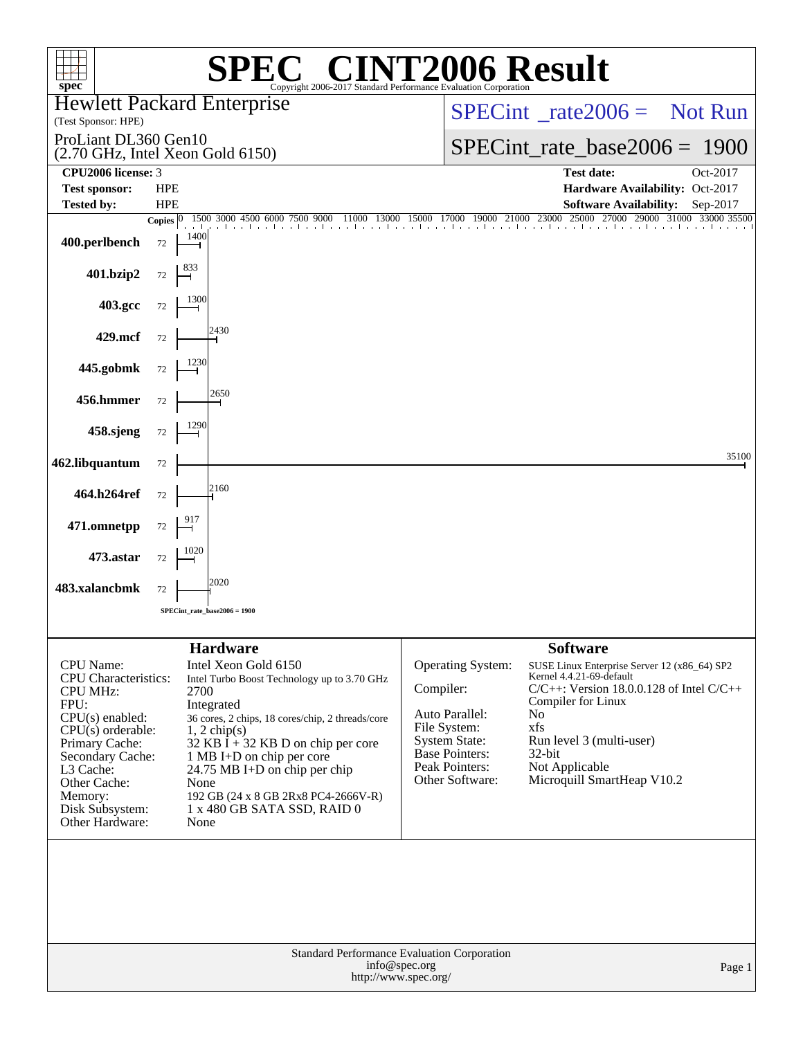| $spec^*$                                                                                                                                                                                                                                   | $\mathbf{P}(\mathbb{R})$                                                                                                                                                                                                                                                                                                                                                       | Copyright 2006-2017 Standard Performance Evaluation Corporation |                                                                                                                                           | <b>VT2006 Result</b>                                                                                                                                                                                                                                                     |                                     |
|--------------------------------------------------------------------------------------------------------------------------------------------------------------------------------------------------------------------------------------------|--------------------------------------------------------------------------------------------------------------------------------------------------------------------------------------------------------------------------------------------------------------------------------------------------------------------------------------------------------------------------------|-----------------------------------------------------------------|-------------------------------------------------------------------------------------------------------------------------------------------|--------------------------------------------------------------------------------------------------------------------------------------------------------------------------------------------------------------------------------------------------------------------------|-------------------------------------|
| (Test Sponsor: HPE)                                                                                                                                                                                                                        | <b>Hewlett Packard Enterprise</b>                                                                                                                                                                                                                                                                                                                                              |                                                                 | $SPECint^{\circ}$ rate $2006 =$ Not Run                                                                                                   |                                                                                                                                                                                                                                                                          |                                     |
| ProLiant DL360 Gen10                                                                                                                                                                                                                       | $(2.70 \text{ GHz}, \text{Intel Xeon Gold } 6150)$                                                                                                                                                                                                                                                                                                                             |                                                                 | $SPECint_rate_base2006 = 1900$                                                                                                            |                                                                                                                                                                                                                                                                          |                                     |
| CPU2006 license: 3                                                                                                                                                                                                                         |                                                                                                                                                                                                                                                                                                                                                                                |                                                                 |                                                                                                                                           | <b>Test date:</b>                                                                                                                                                                                                                                                        | Oct-2017                            |
| <b>Test sponsor:</b>                                                                                                                                                                                                                       | <b>HPE</b><br><b>HPE</b>                                                                                                                                                                                                                                                                                                                                                       |                                                                 |                                                                                                                                           | Hardware Availability: Oct-2017<br><b>Software Availability:</b>                                                                                                                                                                                                         |                                     |
| <b>Tested by:</b>                                                                                                                                                                                                                          | 1500 3000 4500 6000 7500 9000<br>Copies $ 0\rangle$                                                                                                                                                                                                                                                                                                                            | 11000 13000                                                     | 15000 17000 19000 21000                                                                                                                   | 23000 25000 27000                                                                                                                                                                                                                                                        | Sep-2017<br>29000 31000 33000 35500 |
| 400.perlbench                                                                                                                                                                                                                              | 1400<br>72                                                                                                                                                                                                                                                                                                                                                                     |                                                                 | and a real and a large                                                                                                                    |                                                                                                                                                                                                                                                                          |                                     |
| 401.bzip2                                                                                                                                                                                                                                  | $72\,$                                                                                                                                                                                                                                                                                                                                                                         |                                                                 |                                                                                                                                           |                                                                                                                                                                                                                                                                          |                                     |
| 403.gcc                                                                                                                                                                                                                                    | 72                                                                                                                                                                                                                                                                                                                                                                             |                                                                 |                                                                                                                                           |                                                                                                                                                                                                                                                                          |                                     |
| 429.mcf                                                                                                                                                                                                                                    | 2430<br>72                                                                                                                                                                                                                                                                                                                                                                     |                                                                 |                                                                                                                                           |                                                                                                                                                                                                                                                                          |                                     |
| 445.gobmk                                                                                                                                                                                                                                  | 72                                                                                                                                                                                                                                                                                                                                                                             |                                                                 |                                                                                                                                           |                                                                                                                                                                                                                                                                          |                                     |
| 456.hmmer                                                                                                                                                                                                                                  | 2650<br>72                                                                                                                                                                                                                                                                                                                                                                     |                                                                 |                                                                                                                                           |                                                                                                                                                                                                                                                                          |                                     |
| 458.sjeng                                                                                                                                                                                                                                  | 72                                                                                                                                                                                                                                                                                                                                                                             |                                                                 |                                                                                                                                           |                                                                                                                                                                                                                                                                          |                                     |
| 462.libquantum                                                                                                                                                                                                                             | 72                                                                                                                                                                                                                                                                                                                                                                             |                                                                 |                                                                                                                                           |                                                                                                                                                                                                                                                                          | 35100                               |
| 464.h264ref                                                                                                                                                                                                                                | 2160<br>72                                                                                                                                                                                                                                                                                                                                                                     |                                                                 |                                                                                                                                           |                                                                                                                                                                                                                                                                          |                                     |
| 471.omnetpp                                                                                                                                                                                                                                | 72                                                                                                                                                                                                                                                                                                                                                                             |                                                                 |                                                                                                                                           |                                                                                                                                                                                                                                                                          |                                     |
| 473.astar                                                                                                                                                                                                                                  | 72                                                                                                                                                                                                                                                                                                                                                                             |                                                                 |                                                                                                                                           |                                                                                                                                                                                                                                                                          |                                     |
| 483.xalancbmk                                                                                                                                                                                                                              | 2020<br>72<br>SPECint_rate_base2006 = 1900                                                                                                                                                                                                                                                                                                                                     |                                                                 |                                                                                                                                           |                                                                                                                                                                                                                                                                          |                                     |
|                                                                                                                                                                                                                                            |                                                                                                                                                                                                                                                                                                                                                                                |                                                                 |                                                                                                                                           |                                                                                                                                                                                                                                                                          |                                     |
| <b>CPU</b> Name:<br><b>CPU</b> Characteristics:<br><b>CPU MHz:</b><br>FPU:<br>$CPU(s)$ enabled:<br>$CPU(s)$ orderable:<br>Primary Cache:<br>Secondary Cache:<br>L3 Cache:<br>Other Cache:<br>Memory:<br>Disk Subsystem:<br>Other Hardware: | <b>Hardware</b><br>Intel Xeon Gold 6150<br>Intel Turbo Boost Technology up to 3.70 GHz<br>2700<br>Integrated<br>36 cores, 2 chips, 18 cores/chip, 2 threads/core<br>$1, 2$ chip(s)<br>$32$ KB I + 32 KB D on chip per core<br>1 MB I+D on chip per core<br>24.75 MB I+D on chip per chip<br>None<br>192 GB (24 x 8 GB 2Rx8 PC4-2666V-R)<br>1 x 480 GB SATA SSD, RAID 0<br>None | Compiler:                                                       | Operating System:<br>Auto Parallel:<br>File System:<br><b>System State:</b><br><b>Base Pointers:</b><br>Peak Pointers:<br>Other Software: | <b>Software</b><br>SUSE Linux Enterprise Server 12 (x86_64) SP2<br>Kernel 4.4.21-69-default<br>$C/C++$ : Version 18.0.0.128 of Intel $C/C++$<br>Compiler for Linux<br>No<br>xfs<br>Run level 3 (multi-user)<br>$32$ -bit<br>Not Applicable<br>Microquill SmartHeap V10.2 |                                     |
|                                                                                                                                                                                                                                            | Standard Performance Evaluation Corporation                                                                                                                                                                                                                                                                                                                                    |                                                                 | Page 1                                                                                                                                    |                                                                                                                                                                                                                                                                          |                                     |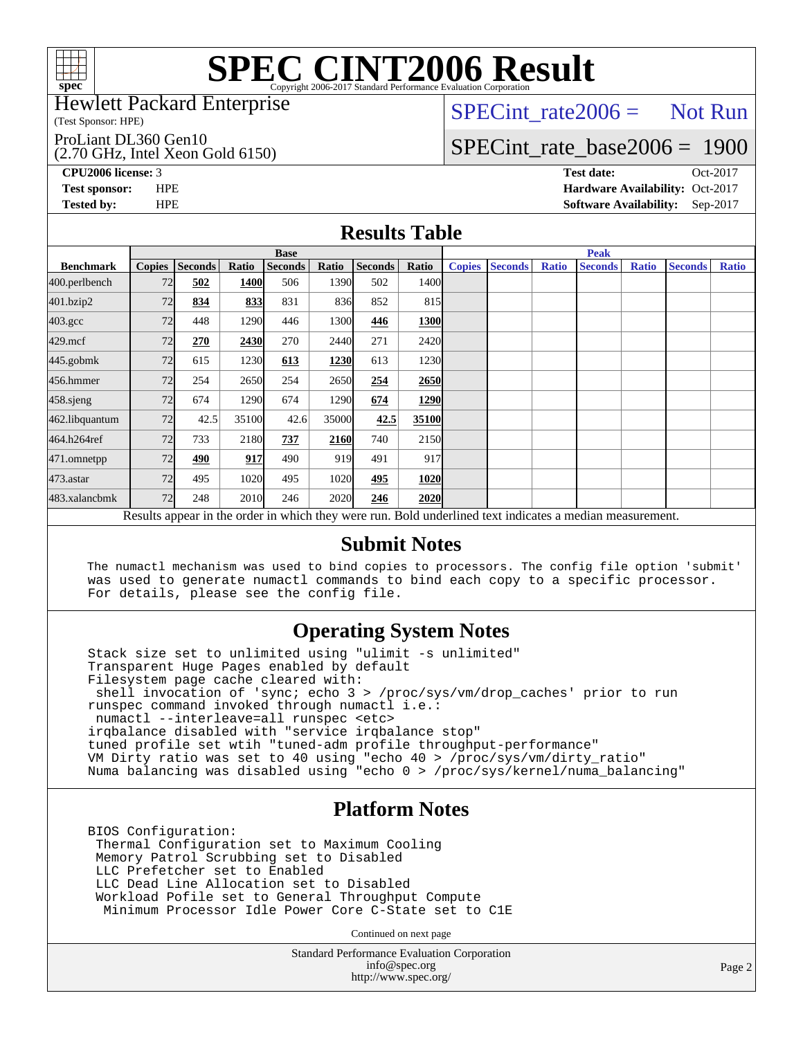

### Hewlett Packard Enterprise

(Test Sponsor: HPE)

#### ProLiant DL360 Gen10

(2.70 GHz, Intel Xeon Gold 6150)

 $SPECTnt_rate2006 = Not Run$ 

# [SPECint\\_rate\\_base2006 =](http://www.spec.org/auto/cpu2006/Docs/result-fields.html#SPECintratebase2006) 1900

**[CPU2006 license:](http://www.spec.org/auto/cpu2006/Docs/result-fields.html#CPU2006license)** 3 **[Test date:](http://www.spec.org/auto/cpu2006/Docs/result-fields.html#Testdate)** Oct-2017 **[Test sponsor:](http://www.spec.org/auto/cpu2006/Docs/result-fields.html#Testsponsor)** HPE **[Hardware Availability:](http://www.spec.org/auto/cpu2006/Docs/result-fields.html#HardwareAvailability)** Oct-2017 **[Tested by:](http://www.spec.org/auto/cpu2006/Docs/result-fields.html#Testedby)** HPE **[Software Availability:](http://www.spec.org/auto/cpu2006/Docs/result-fields.html#SoftwareAvailability)** Sep-2017

### **[Results Table](http://www.spec.org/auto/cpu2006/Docs/result-fields.html#ResultsTable)**

|                                                                                                          | <b>Base</b>   |                |       |                |       |                | <b>Peak</b> |               |                |              |                |              |                |              |
|----------------------------------------------------------------------------------------------------------|---------------|----------------|-------|----------------|-------|----------------|-------------|---------------|----------------|--------------|----------------|--------------|----------------|--------------|
| <b>Benchmark</b>                                                                                         | <b>Copies</b> | <b>Seconds</b> | Ratio | <b>Seconds</b> | Ratio | <b>Seconds</b> | Ratio       | <b>Copies</b> | <b>Seconds</b> | <b>Ratio</b> | <b>Seconds</b> | <b>Ratio</b> | <b>Seconds</b> | <b>Ratio</b> |
| 400.perlbench                                                                                            | 72            | 502            | 1400  | 506            | 1390  | 502            | 1400        |               |                |              |                |              |                |              |
| 401.bzip2                                                                                                | 72            | 834            | 833   | 831            | 836   | 852            | 815         |               |                |              |                |              |                |              |
| $403.\mathrm{gcc}$                                                                                       | 72            | 448            | 1290  | 446            | 1300  | 446            | 1300        |               |                |              |                |              |                |              |
| $429$ .mcf                                                                                               | 72            | 270            | 2430  | 270            | 2440  | 271            | 2420        |               |                |              |                |              |                |              |
| 445.gobmk                                                                                                | 72            | 615            | 1230  | 613            | 1230  | 613            | 1230        |               |                |              |                |              |                |              |
| 456.hmmer                                                                                                | 72            | 254            | 2650  | 254            | 2650  | 254            | 2650        |               |                |              |                |              |                |              |
| $458$ .sjeng                                                                                             | 72            | 674            | 1290  | 674            | 1290  | 674            | 1290        |               |                |              |                |              |                |              |
| 462.libquantum                                                                                           | 72            | 42.5           | 35100 | 42.6           | 35000 | 42.5           | 35100       |               |                |              |                |              |                |              |
| 464.h264ref                                                                                              | 72            | 733            | 2180  | 737            | 2160  | 740            | 2150        |               |                |              |                |              |                |              |
| 471.omnetpp                                                                                              | 72            | 490            | 917   | 490            | 919   | 491            | 917         |               |                |              |                |              |                |              |
| 473.astar                                                                                                | 72            | 495            | 1020  | 495            | 1020  | 495            | 1020        |               |                |              |                |              |                |              |
| 483.xalancbmk                                                                                            | 72            | 248            | 2010  | 246            | 2020  | 246            | 2020        |               |                |              |                |              |                |              |
| Results appear in the order in which they were run. Bold underlined text indicates a median measurement. |               |                |       |                |       |                |             |               |                |              |                |              |                |              |

### **[Submit Notes](http://www.spec.org/auto/cpu2006/Docs/result-fields.html#SubmitNotes)**

 The numactl mechanism was used to bind copies to processors. The config file option 'submit' was used to generate numactl commands to bind each copy to a specific processor. For details, please see the config file.

### **[Operating System Notes](http://www.spec.org/auto/cpu2006/Docs/result-fields.html#OperatingSystemNotes)**

 Stack size set to unlimited using "ulimit -s unlimited" Transparent Huge Pages enabled by default Filesystem page cache cleared with: shell invocation of 'sync; echo 3 > /proc/sys/vm/drop\_caches' prior to run runspec command invoked through numactl i.e.: numactl --interleave=all runspec <etc> irqbalance disabled with "service irqbalance stop" tuned profile set wtih "tuned-adm profile throughput-performance" VM Dirty ratio was set to 40 using "echo 40 > /proc/sys/vm/dirty\_ratio" Numa balancing was disabled using "echo 0 > /proc/sys/kernel/numa\_balancing"

### **[Platform Notes](http://www.spec.org/auto/cpu2006/Docs/result-fields.html#PlatformNotes)**

 BIOS Configuration: Thermal Configuration set to Maximum Cooling Memory Patrol Scrubbing set to Disabled LLC Prefetcher set to Enabled LLC Dead Line Allocation set to Disabled Workload Pofile set to General Throughput Compute Minimum Processor Idle Power Core C-State set to C1E

Continued on next page

Standard Performance Evaluation Corporation [info@spec.org](mailto:info@spec.org) <http://www.spec.org/>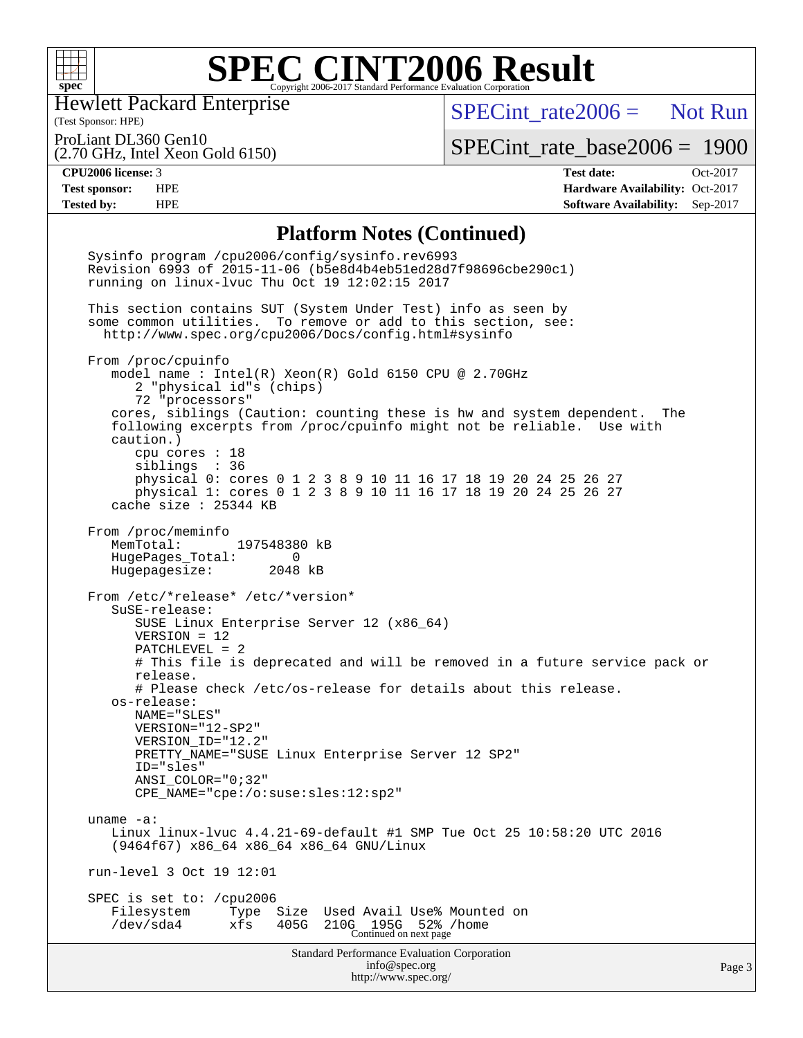

Hewlett Packard Enterprise

 $SPECTnt_rate2006 = Not Run$ 

(Test Sponsor: HPE) ProLiant DL360 Gen10

(2.70 GHz, Intel Xeon Gold 6150)

[SPECint\\_rate\\_base2006 =](http://www.spec.org/auto/cpu2006/Docs/result-fields.html#SPECintratebase2006) 1900

**[CPU2006 license:](http://www.spec.org/auto/cpu2006/Docs/result-fields.html#CPU2006license)** 3 **[Test date:](http://www.spec.org/auto/cpu2006/Docs/result-fields.html#Testdate)** Oct-2017 **[Test sponsor:](http://www.spec.org/auto/cpu2006/Docs/result-fields.html#Testsponsor)** HPE **[Hardware Availability:](http://www.spec.org/auto/cpu2006/Docs/result-fields.html#HardwareAvailability)** Oct-2017 **[Tested by:](http://www.spec.org/auto/cpu2006/Docs/result-fields.html#Testedby)** HPE **[Software Availability:](http://www.spec.org/auto/cpu2006/Docs/result-fields.html#SoftwareAvailability)** Sep-2017

### **[Platform Notes \(Continued\)](http://www.spec.org/auto/cpu2006/Docs/result-fields.html#PlatformNotes)**

Standard Performance Evaluation Corporation [info@spec.org](mailto:info@spec.org) <http://www.spec.org/> Page 3 Sysinfo program /cpu2006/config/sysinfo.rev6993 Revision 6993 of 2015-11-06 (b5e8d4b4eb51ed28d7f98696cbe290c1) running on linux-lvuc Thu Oct 19 12:02:15 2017 This section contains SUT (System Under Test) info as seen by some common utilities. To remove or add to this section, see: <http://www.spec.org/cpu2006/Docs/config.html#sysinfo> From /proc/cpuinfo model name : Intel(R) Xeon(R) Gold 6150 CPU @ 2.70GHz 2 "physical id"s (chips) 72 "processors" cores, siblings (Caution: counting these is hw and system dependent. The following excerpts from /proc/cpuinfo might not be reliable. Use with caution.) cpu cores : 18 siblings : 36 physical 0: cores 0 1 2 3 8 9 10 11 16 17 18 19 20 24 25 26 27 physical 1: cores 0 1 2 3 8 9 10 11 16 17 18 19 20 24 25 26 27 cache size : 25344 KB From /proc/meminfo<br>MemTotal: 197548380 kB HugePages\_Total: 0 Hugepagesize: 2048 kB From /etc/\*release\* /etc/\*version\* SuSE-release: SUSE Linux Enterprise Server 12 (x86\_64) VERSION = 12 PATCHLEVEL = 2 # This file is deprecated and will be removed in a future service pack or release. # Please check /etc/os-release for details about this release. os-release: NAME="SLES" VERSION="12-SP2" VERSION\_ID="12.2" PRETTY\_NAME="SUSE Linux Enterprise Server 12 SP2" ID="sles" ANSI\_COLOR="0;32" CPE\_NAME="cpe:/o:suse:sles:12:sp2" uname -a: Linux linux-lvuc 4.4.21-69-default #1 SMP Tue Oct 25 10:58:20 UTC 2016 (9464f67) x86\_64 x86\_64 x86\_64 GNU/Linux run-level 3 Oct 19 12:01 SPEC is set to: /cpu2006 Filesystem Type Size Used Avail Use% Mounted on /dev/sda4 xfs 405G 210G 195G 52% /home Continued on next page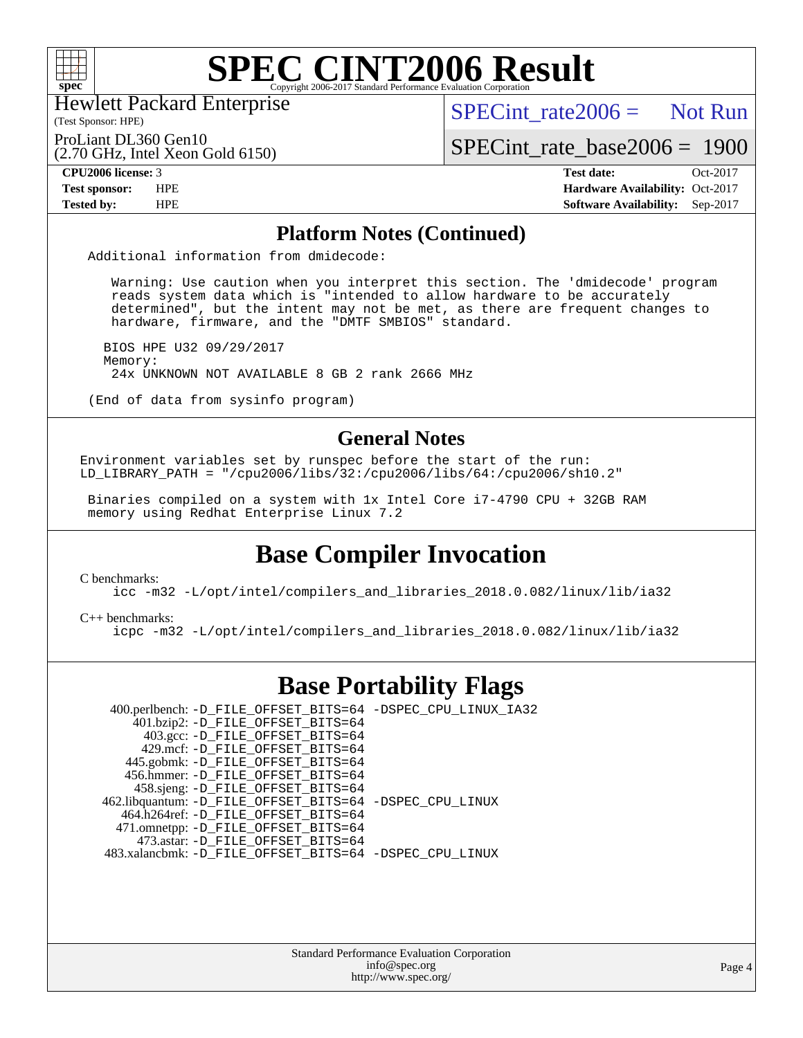

Hewlett Packard Enterprise

(Test Sponsor: HPE)

 $SPECint rate2006 =$  Not Run

ProLiant DL360 Gen10

(2.70 GHz, Intel Xeon Gold 6150)

[SPECint\\_rate\\_base2006 =](http://www.spec.org/auto/cpu2006/Docs/result-fields.html#SPECintratebase2006) 1900

**[CPU2006 license:](http://www.spec.org/auto/cpu2006/Docs/result-fields.html#CPU2006license)** 3 **[Test date:](http://www.spec.org/auto/cpu2006/Docs/result-fields.html#Testdate)** Oct-2017 **[Test sponsor:](http://www.spec.org/auto/cpu2006/Docs/result-fields.html#Testsponsor)** HPE **[Hardware Availability:](http://www.spec.org/auto/cpu2006/Docs/result-fields.html#HardwareAvailability)** Oct-2017 **[Tested by:](http://www.spec.org/auto/cpu2006/Docs/result-fields.html#Testedby)** HPE **[Software Availability:](http://www.spec.org/auto/cpu2006/Docs/result-fields.html#SoftwareAvailability)** Sep-2017

### **[Platform Notes \(Continued\)](http://www.spec.org/auto/cpu2006/Docs/result-fields.html#PlatformNotes)**

Additional information from dmidecode:

 Warning: Use caution when you interpret this section. The 'dmidecode' program reads system data which is "intended to allow hardware to be accurately determined", but the intent may not be met, as there are frequent changes to hardware, firmware, and the "DMTF SMBIOS" standard.

 BIOS HPE U32 09/29/2017 Memory: 24x UNKNOWN NOT AVAILABLE 8 GB 2 rank 2666 MHz

(End of data from sysinfo program)

### **[General Notes](http://www.spec.org/auto/cpu2006/Docs/result-fields.html#GeneralNotes)**

Environment variables set by runspec before the start of the run: LD LIBRARY PATH = "/cpu2006/libs/32:/cpu2006/libs/64:/cpu2006/sh10.2"

 Binaries compiled on a system with 1x Intel Core i7-4790 CPU + 32GB RAM memory using Redhat Enterprise Linux 7.2

## **[Base Compiler Invocation](http://www.spec.org/auto/cpu2006/Docs/result-fields.html#BaseCompilerInvocation)**

[C benchmarks](http://www.spec.org/auto/cpu2006/Docs/result-fields.html#Cbenchmarks):

[icc -m32 -L/opt/intel/compilers\\_and\\_libraries\\_2018.0.082/linux/lib/ia32](http://www.spec.org/cpu2006/results/res2017q4/cpu2006-20171031-50423.flags.html#user_CCbase_intel_icc_355c401af4d5dc87e09103a6bbcae1c6)

[C++ benchmarks:](http://www.spec.org/auto/cpu2006/Docs/result-fields.html#CXXbenchmarks)

[icpc -m32 -L/opt/intel/compilers\\_and\\_libraries\\_2018.0.082/linux/lib/ia32](http://www.spec.org/cpu2006/results/res2017q4/cpu2006-20171031-50423.flags.html#user_CXXbase_intel_icpc_b34a6f497613b30bc6bf10051974f22f)

## **[Base Portability Flags](http://www.spec.org/auto/cpu2006/Docs/result-fields.html#BasePortabilityFlags)**

 400.perlbench: [-D\\_FILE\\_OFFSET\\_BITS=64](http://www.spec.org/cpu2006/results/res2017q4/cpu2006-20171031-50423.flags.html#user_basePORTABILITY400_perlbench_file_offset_bits_64_438cf9856305ebd76870a2c6dc2689ab) [-DSPEC\\_CPU\\_LINUX\\_IA32](http://www.spec.org/cpu2006/results/res2017q4/cpu2006-20171031-50423.flags.html#b400.perlbench_baseCPORTABILITY_DSPEC_CPU_LINUX_IA32) 401.bzip2: [-D\\_FILE\\_OFFSET\\_BITS=64](http://www.spec.org/cpu2006/results/res2017q4/cpu2006-20171031-50423.flags.html#user_basePORTABILITY401_bzip2_file_offset_bits_64_438cf9856305ebd76870a2c6dc2689ab) 403.gcc: [-D\\_FILE\\_OFFSET\\_BITS=64](http://www.spec.org/cpu2006/results/res2017q4/cpu2006-20171031-50423.flags.html#user_basePORTABILITY403_gcc_file_offset_bits_64_438cf9856305ebd76870a2c6dc2689ab) 429.mcf: [-D\\_FILE\\_OFFSET\\_BITS=64](http://www.spec.org/cpu2006/results/res2017q4/cpu2006-20171031-50423.flags.html#user_basePORTABILITY429_mcf_file_offset_bits_64_438cf9856305ebd76870a2c6dc2689ab) 445.gobmk: [-D\\_FILE\\_OFFSET\\_BITS=64](http://www.spec.org/cpu2006/results/res2017q4/cpu2006-20171031-50423.flags.html#user_basePORTABILITY445_gobmk_file_offset_bits_64_438cf9856305ebd76870a2c6dc2689ab) 456.hmmer: [-D\\_FILE\\_OFFSET\\_BITS=64](http://www.spec.org/cpu2006/results/res2017q4/cpu2006-20171031-50423.flags.html#user_basePORTABILITY456_hmmer_file_offset_bits_64_438cf9856305ebd76870a2c6dc2689ab) 458.sjeng: [-D\\_FILE\\_OFFSET\\_BITS=64](http://www.spec.org/cpu2006/results/res2017q4/cpu2006-20171031-50423.flags.html#user_basePORTABILITY458_sjeng_file_offset_bits_64_438cf9856305ebd76870a2c6dc2689ab) 462.libquantum: [-D\\_FILE\\_OFFSET\\_BITS=64](http://www.spec.org/cpu2006/results/res2017q4/cpu2006-20171031-50423.flags.html#user_basePORTABILITY462_libquantum_file_offset_bits_64_438cf9856305ebd76870a2c6dc2689ab) [-DSPEC\\_CPU\\_LINUX](http://www.spec.org/cpu2006/results/res2017q4/cpu2006-20171031-50423.flags.html#b462.libquantum_baseCPORTABILITY_DSPEC_CPU_LINUX) 464.h264ref: [-D\\_FILE\\_OFFSET\\_BITS=64](http://www.spec.org/cpu2006/results/res2017q4/cpu2006-20171031-50423.flags.html#user_basePORTABILITY464_h264ref_file_offset_bits_64_438cf9856305ebd76870a2c6dc2689ab) 471.omnetpp: [-D\\_FILE\\_OFFSET\\_BITS=64](http://www.spec.org/cpu2006/results/res2017q4/cpu2006-20171031-50423.flags.html#user_basePORTABILITY471_omnetpp_file_offset_bits_64_438cf9856305ebd76870a2c6dc2689ab) 473.astar: [-D\\_FILE\\_OFFSET\\_BITS=64](http://www.spec.org/cpu2006/results/res2017q4/cpu2006-20171031-50423.flags.html#user_basePORTABILITY473_astar_file_offset_bits_64_438cf9856305ebd76870a2c6dc2689ab) 483.xalancbmk: [-D\\_FILE\\_OFFSET\\_BITS=64](http://www.spec.org/cpu2006/results/res2017q4/cpu2006-20171031-50423.flags.html#user_basePORTABILITY483_xalancbmk_file_offset_bits_64_438cf9856305ebd76870a2c6dc2689ab) [-DSPEC\\_CPU\\_LINUX](http://www.spec.org/cpu2006/results/res2017q4/cpu2006-20171031-50423.flags.html#b483.xalancbmk_baseCXXPORTABILITY_DSPEC_CPU_LINUX)